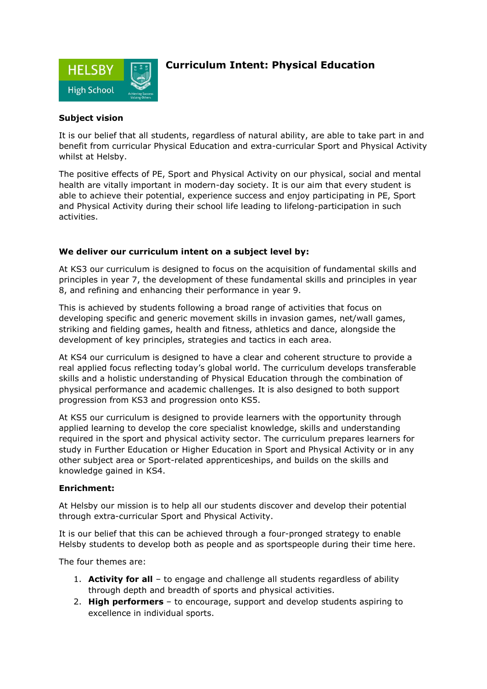

# **Curriculum Intent: Physical Education**

### **Subject vision**

It is our belief that all students, regardless of natural ability, are able to take part in and benefit from curricular Physical Education and extra-curricular Sport and Physical Activity whilst at Helsby.

The positive effects of PE, Sport and Physical Activity on our physical, social and mental health are vitally important in modern-day society. It is our aim that every student is able to achieve their potential, experience success and enjoy participating in PE, Sport and Physical Activity during their school life leading to lifelong-participation in such activities.

## **We deliver our curriculum intent on a subject level by:**

At KS3 our curriculum is designed to focus on the acquisition of fundamental skills and principles in year 7, the development of these fundamental skills and principles in year 8, and refining and enhancing their performance in year 9.

This is achieved by students following a broad range of activities that focus on developing specific and generic movement skills in invasion games, net/wall games, striking and fielding games, health and fitness, athletics and dance, alongside the development of key principles, strategies and tactics in each area.

At KS4 our curriculum is designed to have a clear and coherent structure to provide a real applied focus reflecting today's global world. The curriculum develops transferable skills and a holistic understanding of Physical Education through the combination of physical performance and academic challenges. It is also designed to both support progression from KS3 and progression onto KS5.

At KS5 our curriculum is designed to provide learners with the opportunity through applied learning to develop the core specialist knowledge, skills and understanding required in the sport and physical activity sector. The curriculum prepares learners for study in Further Education or Higher Education in Sport and Physical Activity or in any other subject area or Sport-related apprenticeships, and builds on the skills and knowledge gained in KS4.

### **Enrichment:**

At Helsby our mission is to help all our students discover and develop their potential through extra-curricular Sport and Physical Activity.

It is our belief that this can be achieved through a four-pronged strategy to enable Helsby students to develop both as people and as sportspeople during their time here.

The four themes are:

- 1. **Activity for all** to engage and challenge all students regardless of ability through depth and breadth of sports and physical activities.
- 2. **High performers**  to encourage, support and develop students aspiring to excellence in individual sports.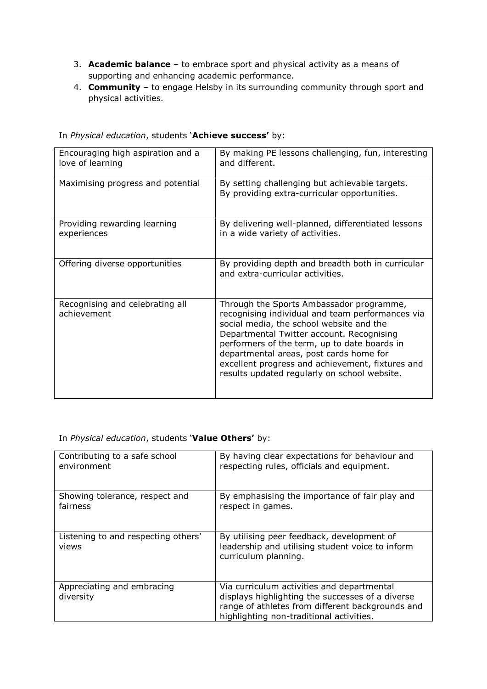- 3. **Academic balance**  to embrace sport and physical activity as a means of supporting and enhancing academic performance.
- 4. **Community**  to engage Helsby in its surrounding community through sport and physical activities.

| Encouraging high aspiration and a<br>love of learning | By making PE lessons challenging, fun, interesting<br>and different.                                                                                                                                                                                                                                                                                                                 |
|-------------------------------------------------------|--------------------------------------------------------------------------------------------------------------------------------------------------------------------------------------------------------------------------------------------------------------------------------------------------------------------------------------------------------------------------------------|
| Maximising progress and potential                     | By setting challenging but achievable targets.<br>By providing extra-curricular opportunities.                                                                                                                                                                                                                                                                                       |
| Providing rewarding learning<br>experiences           | By delivering well-planned, differentiated lessons<br>in a wide variety of activities.                                                                                                                                                                                                                                                                                               |
| Offering diverse opportunities                        | By providing depth and breadth both in curricular<br>and extra-curricular activities.                                                                                                                                                                                                                                                                                                |
| Recognising and celebrating all<br>achievement        | Through the Sports Ambassador programme,<br>recognising individual and team performances via<br>social media, the school website and the<br>Departmental Twitter account. Recognising<br>performers of the term, up to date boards in<br>departmental areas, post cards home for<br>excellent progress and achievement, fixtures and<br>results updated regularly on school website. |

### In *Physical education*, students '**Achieve success'** by:

### In *Physical education*, students '**Value Others'** by:

| Contributing to a safe school                | By having clear expectations for behaviour and                                                                                                                                                 |
|----------------------------------------------|------------------------------------------------------------------------------------------------------------------------------------------------------------------------------------------------|
| environment                                  | respecting rules, officials and equipment.                                                                                                                                                     |
| Showing tolerance, respect and               | By emphasising the importance of fair play and                                                                                                                                                 |
| fairness                                     | respect in games.                                                                                                                                                                              |
| Listening to and respecting others'<br>views | By utilising peer feedback, development of<br>leadership and utilising student voice to inform<br>curriculum planning.                                                                         |
| Appreciating and embracing<br>diversity      | Via curriculum activities and departmental<br>displays highlighting the successes of a diverse<br>range of athletes from different backgrounds and<br>highlighting non-traditional activities. |